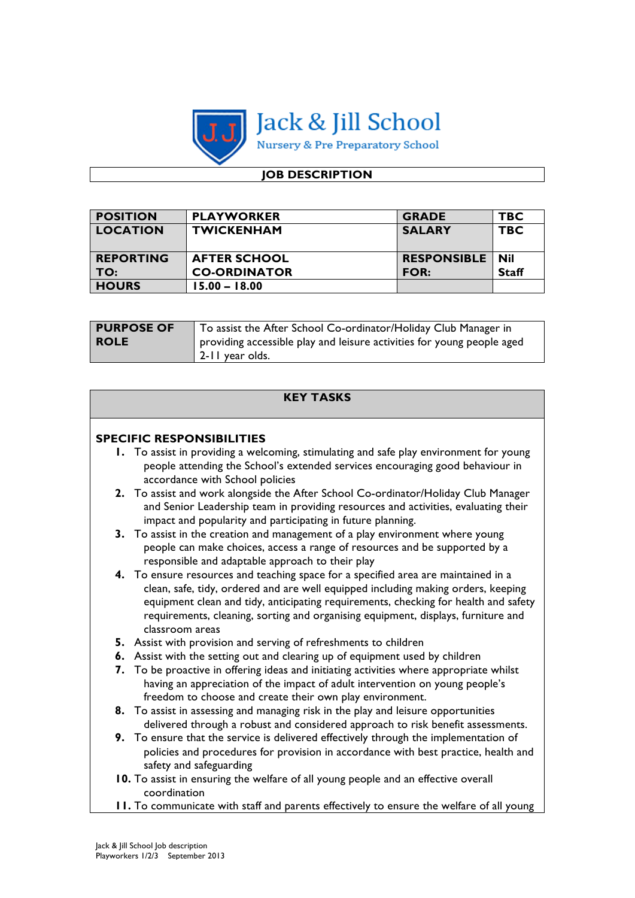

# **JOB DESCRIPTION**

| <b>POSITION</b>  | <b>PLAYWORKER</b>   | <b>GRADE</b>       | <b>TBC</b>   |
|------------------|---------------------|--------------------|--------------|
| <b>LOCATION</b>  | <b>TWICKENHAM</b>   | <b>SALARY</b>      | <b>TBC</b>   |
|                  |                     |                    |              |
| <b>REPORTING</b> | <b>AFTER SCHOOL</b> | <b>RESPONSIBLE</b> | - Nil        |
| TO:              | <b>CO-ORDINATOR</b> | <b>FOR:</b>        | <b>Staff</b> |
| <b>HOURS</b>     | $15.00 - 18.00$     |                    |              |

| <b>PURPOSE OF</b> | To assist the After School Co-ordinator/Holiday Club Manager in        |
|-------------------|------------------------------------------------------------------------|
| <b>ROLE</b>       | providing accessible play and leisure activities for young people aged |
|                   | 2-11 year olds.                                                        |

|    | <b>KEY TASKS</b>                                                                                                                                                                                                                                                                                                                                                       |
|----|------------------------------------------------------------------------------------------------------------------------------------------------------------------------------------------------------------------------------------------------------------------------------------------------------------------------------------------------------------------------|
|    | <b>SPECIFIC RESPONSIBILITIES</b>                                                                                                                                                                                                                                                                                                                                       |
|    | 1. To assist in providing a welcoming, stimulating and safe play environment for young<br>people attending the School's extended services encouraging good behaviour in<br>accordance with School policies                                                                                                                                                             |
|    | 2. To assist and work alongside the After School Co-ordinator/Holiday Club Manager<br>and Senior Leadership team in providing resources and activities, evaluating their<br>impact and popularity and participating in future planning.                                                                                                                                |
|    | 3. To assist in the creation and management of a play environment where young<br>people can make choices, access a range of resources and be supported by a<br>responsible and adaptable approach to their play                                                                                                                                                        |
|    | 4. To ensure resources and teaching space for a specified area are maintained in a<br>clean, safe, tidy, ordered and are well equipped including making orders, keeping<br>equipment clean and tidy, anticipating requirements, checking for health and safety<br>requirements, cleaning, sorting and organising equipment, displays, furniture and<br>classroom areas |
|    | 5. Assist with provision and serving of refreshments to children                                                                                                                                                                                                                                                                                                       |
|    | 6. Assist with the setting out and clearing up of equipment used by children                                                                                                                                                                                                                                                                                           |
| 7. | To be proactive in offering ideas and initiating activities where appropriate whilst<br>having an appreciation of the impact of adult intervention on young people's<br>freedom to choose and create their own play environment.                                                                                                                                       |
|    | 8. To assist in assessing and managing risk in the play and leisure opportunities<br>delivered through a robust and considered approach to risk benefit assessments.                                                                                                                                                                                                   |
|    | 9. To ensure that the service is delivered effectively through the implementation of<br>policies and procedures for provision in accordance with best practice, health and<br>safety and safeguarding                                                                                                                                                                  |
|    | 10. To assist in ensuring the welfare of all young people and an effective overall<br>coordination                                                                                                                                                                                                                                                                     |
|    | <b>II.</b> To communicate with staff and parents effectively to ensure the welfare of all young                                                                                                                                                                                                                                                                        |
|    |                                                                                                                                                                                                                                                                                                                                                                        |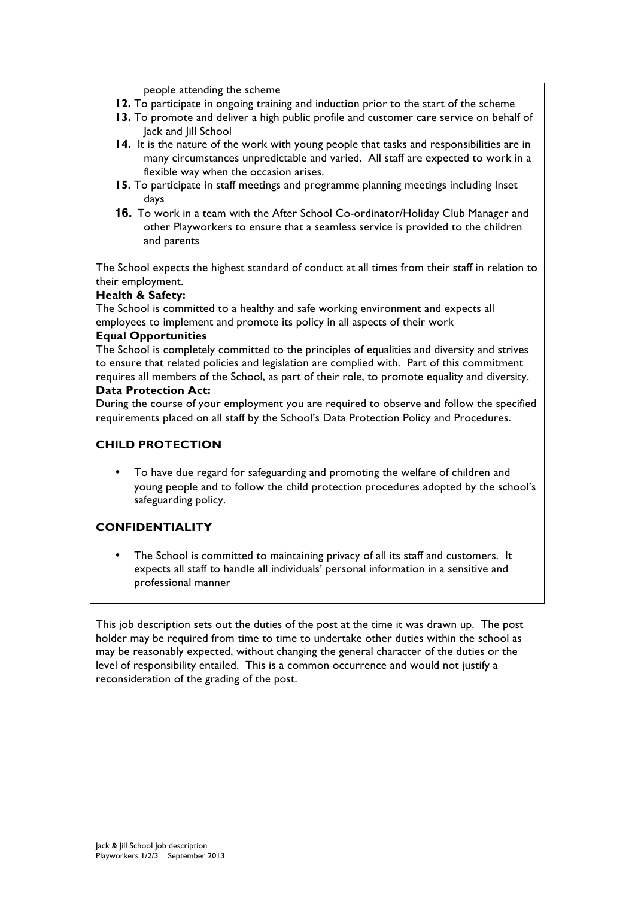people attending the scheme

- **12.** To participate in ongoing training and induction prior to the start of the scheme
- **13.** To promote and deliver a high public profile and customer care service on behalf of Jack and Jill School
- **14.** It is the nature of the work with young people that tasks and responsibilities are in many circumstances unpredictable and varied. All staff are expected to work in a flexible way when the occasion arises.
- **15.** To participate in staff meetings and programme planning meetings including Inset days
- **16.** To work in a team with the After School Co-ordinator/Holiday Club Manager and other Playworkers to ensure that a seamless service is provided to the children and parents

The School expects the highest standard of conduct at all times from their staff in relation to their employment.

#### **Health & Safety:**

The School is committed to a healthy and safe working environment and expects all employees to implement and promote its policy in all aspects of their work

#### **Equal Opportunities**

The School is completely committed to the principles of equalities and diversity and strives to ensure that related policies and legislation are complied with. Part of this commitment requires all members of the School, as part of their role, to promote equality and diversity. **Data Protection Act:**

During the course of your employment you are required to observe and follow the specified requirements placed on all staff by the School's Data Protection Policy and Procedures.

### **CHILD PROTECTION**

• To have due regard for safeguarding and promoting the welfare of children and young people and to follow the child protection procedures adopted by the school's safeguarding policy.

## **CONFIDENTIALITY**

The School is committed to maintaining privacy of all its staff and customers. It expects all staff to handle all individuals' personal information in a sensitive and professional manner

This job description sets out the duties of the post at the time it was drawn up. The post holder may be required from time to time to undertake other duties within the school as may be reasonably expected, without changing the general character of the duties or the level of responsibility entailed. This is a common occurrence and would not justify a reconsideration of the grading of the post.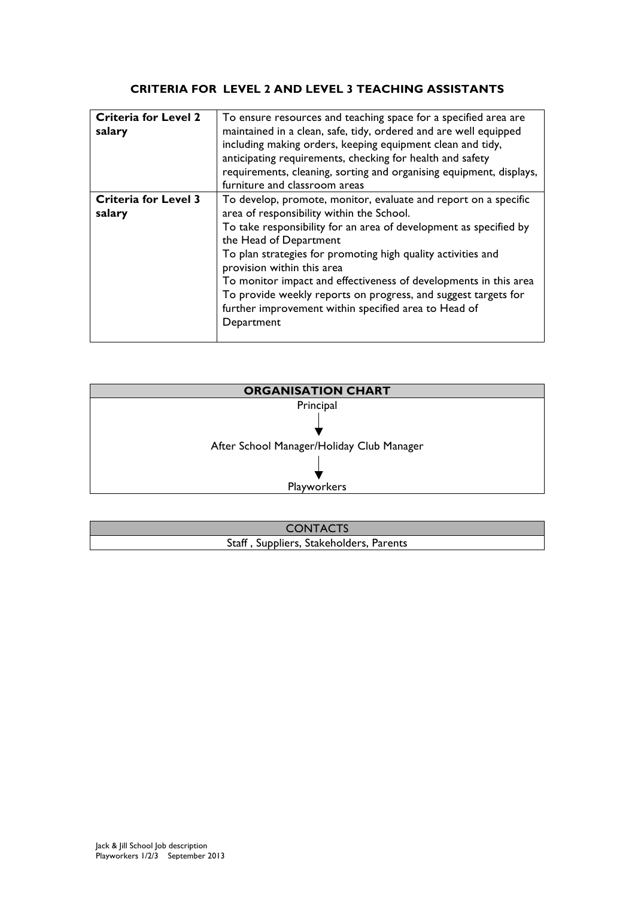## **CRITERIA FOR LEVEL 2 AND LEVEL 3 TEACHING ASSISTANTS**

| <b>Criteria for Level 2</b><br>salary | To ensure resources and teaching space for a specified area are<br>maintained in a clean, safe, tidy, ordered and are well equipped<br>including making orders, keeping equipment clean and tidy,<br>anticipating requirements, checking for health and safety<br>requirements, cleaning, sorting and organising equipment, displays, |  |
|---------------------------------------|---------------------------------------------------------------------------------------------------------------------------------------------------------------------------------------------------------------------------------------------------------------------------------------------------------------------------------------|--|
|                                       | furniture and classroom areas                                                                                                                                                                                                                                                                                                         |  |
| <b>Criteria for Level 3</b>           | To develop, promote, monitor, evaluate and report on a specific                                                                                                                                                                                                                                                                       |  |
| salary                                | area of responsibility within the School.                                                                                                                                                                                                                                                                                             |  |
|                                       |                                                                                                                                                                                                                                                                                                                                       |  |
|                                       | To take responsibility for an area of development as specified by                                                                                                                                                                                                                                                                     |  |
|                                       | the Head of Department                                                                                                                                                                                                                                                                                                                |  |
|                                       | To plan strategies for promoting high quality activities and                                                                                                                                                                                                                                                                          |  |
|                                       | provision within this area                                                                                                                                                                                                                                                                                                            |  |
|                                       | To monitor impact and effectiveness of developments in this area                                                                                                                                                                                                                                                                      |  |
|                                       | To provide weekly reports on progress, and suggest targets for                                                                                                                                                                                                                                                                        |  |
|                                       |                                                                                                                                                                                                                                                                                                                                       |  |
|                                       | further improvement within specified area to Head of                                                                                                                                                                                                                                                                                  |  |
|                                       | Department                                                                                                                                                                                                                                                                                                                            |  |
|                                       |                                                                                                                                                                                                                                                                                                                                       |  |
|                                       |                                                                                                                                                                                                                                                                                                                                       |  |



| <b>CONTACTS</b>                         |  |
|-----------------------------------------|--|
| Staff, Suppliers, Stakeholders, Parents |  |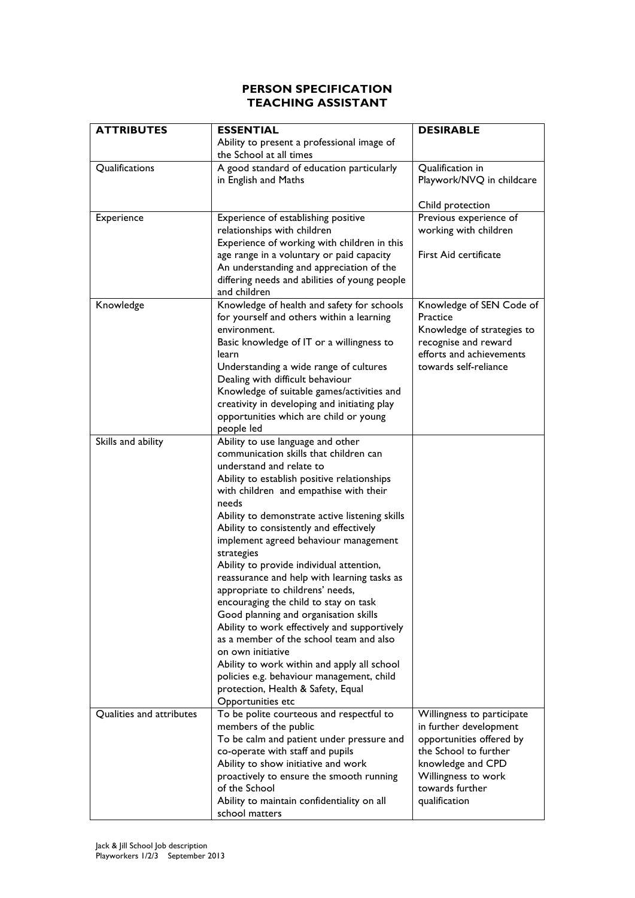#### **PERSON SPECIFICATION TEACHING ASSISTANT**

| <b>ATTRIBUTES</b>        | <b>ESSENTIAL</b>                                                                      | <b>DESIRABLE</b>                                 |
|--------------------------|---------------------------------------------------------------------------------------|--------------------------------------------------|
|                          | Ability to present a professional image of                                            |                                                  |
|                          | the School at all times                                                               |                                                  |
| Qualifications           | A good standard of education particularly                                             | Qualification in                                 |
|                          | in English and Maths                                                                  | Playwork/NVQ in childcare                        |
|                          |                                                                                       |                                                  |
|                          |                                                                                       | Child protection                                 |
| Experience               | Experience of establishing positive                                                   | Previous experience of                           |
|                          | relationships with children                                                           | working with children                            |
|                          | Experience of working with children in this                                           |                                                  |
|                          | age range in a voluntary or paid capacity                                             | First Aid certificate                            |
|                          | An understanding and appreciation of the                                              |                                                  |
|                          | differing needs and abilities of young people                                         |                                                  |
|                          | and children                                                                          |                                                  |
| Knowledge                | Knowledge of health and safety for schools                                            | Knowledge of SEN Code of                         |
|                          | for yourself and others within a learning                                             | Practice                                         |
|                          | environment.                                                                          | Knowledge of strategies to                       |
|                          | Basic knowledge of IT or a willingness to                                             | recognise and reward<br>efforts and achievements |
|                          | learn                                                                                 | towards self-reliance                            |
|                          | Understanding a wide range of cultures<br>Dealing with difficult behaviour            |                                                  |
|                          | Knowledge of suitable games/activities and                                            |                                                  |
|                          | creativity in developing and initiating play                                          |                                                  |
|                          | opportunities which are child or young                                                |                                                  |
|                          | people led                                                                            |                                                  |
| Skills and ability       | Ability to use language and other                                                     |                                                  |
|                          | communication skills that children can                                                |                                                  |
|                          | understand and relate to                                                              |                                                  |
|                          | Ability to establish positive relationships                                           |                                                  |
|                          | with children and empathise with their                                                |                                                  |
|                          | needs                                                                                 |                                                  |
|                          | Ability to demonstrate active listening skills                                        |                                                  |
|                          | Ability to consistently and effectively                                               |                                                  |
|                          | implement agreed behaviour management                                                 |                                                  |
|                          | strategies                                                                            |                                                  |
|                          | Ability to provide individual attention,                                              |                                                  |
|                          | reassurance and help with learning tasks as                                           |                                                  |
|                          | appropriate to childrens' needs,                                                      |                                                  |
|                          | encouraging the child to stay on task                                                 |                                                  |
|                          | Good planning and organisation skills<br>Ability to work effectively and supportively |                                                  |
|                          | as a member of the school team and also                                               |                                                  |
|                          | on own initiative                                                                     |                                                  |
|                          | Ability to work within and apply all school                                           |                                                  |
|                          | policies e.g. behaviour management, child                                             |                                                  |
|                          | protection, Health & Safety, Equal                                                    |                                                  |
|                          | Opportunities etc                                                                     |                                                  |
| Qualities and attributes | To be polite courteous and respectful to                                              | Willingness to participate                       |
|                          | members of the public                                                                 | in further development                           |
|                          | To be calm and patient under pressure and                                             | opportunities offered by                         |
|                          | co-operate with staff and pupils                                                      | the School to further                            |
|                          | Ability to show initiative and work                                                   | knowledge and CPD                                |
|                          | proactively to ensure the smooth running                                              | Willingness to work                              |
|                          | of the School                                                                         | towards further                                  |
|                          | Ability to maintain confidentiality on all                                            | qualification                                    |
|                          | school matters                                                                        |                                                  |